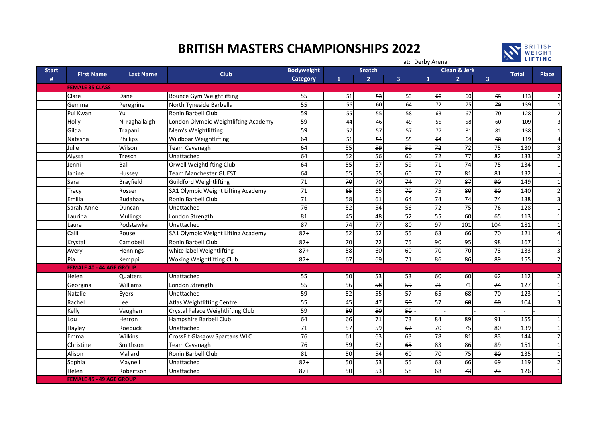## **BRITISH MASTERS CHAMPIONSHIPS 2022**



at: Derby Arena

| <b>Start</b>           | <b>First Name</b><br><b>Last Name</b> |                  |                                      | <b>Bodyweight</b> | <b>Snatch</b>  |                |                         |                 | Clean & Jerk    |                         |              |                |
|------------------------|---------------------------------------|------------------|--------------------------------------|-------------------|----------------|----------------|-------------------------|-----------------|-----------------|-------------------------|--------------|----------------|
| #                      |                                       |                  | <b>Club</b>                          | Category          | $\mathbf{1}$   | $\overline{2}$ | $\overline{\mathbf{3}}$ | $\mathbf{1}$    | $\overline{2}$  | $\overline{\mathbf{3}}$ | <b>Total</b> | <b>Place</b>   |
| <b>FEMALE 35 CLASS</b> |                                       |                  |                                      |                   |                |                |                         |                 |                 |                         |              |                |
|                        | Clare                                 | Dane             | <b>Bounce Gym Weightlifting</b>      | 55                | 51             | 53             | 53                      | 60              | 60              | 65                      | 113          | $\overline{2}$ |
|                        | Gemma                                 | Peregrine        | <b>North Tyneside Barbells</b>       | 55                | 56             | 60             | 64                      | 72              | 75              | 79                      | 139          | $\mathbf{1}$   |
|                        | Pui Kwan                              | Yu               | Ronin Barbell Club                   | 59                | 55             | 55             | 58                      | 63              | 67              | 70                      | 128          | $\overline{2}$ |
|                        | Holly                                 | Ni raghallaigh   | London Olympic Weightlifting Academy | 59                | 44             | 46             | 49                      | 55              | 58              | 60                      | 109          | 3              |
|                        | Gilda                                 | Trapani          | Mem's Weightlifting                  | 59                | 57             | 57             | 57                      | 77              | 81              | 81                      | 138          | $\mathbf{1}$   |
|                        | Natasha                               | <b>Phillips</b>  | Wildboar Weightlifting               | 64                | 51             | 54             | 55                      | 64              | 64              | 68                      | 119          | $\overline{4}$ |
|                        | Julie                                 | Wilson           | <b>Team Cavanagh</b>                 | 64                | 55             | 59             | 59                      | 72              | 72              | 75                      | 130          | 3              |
|                        | Alyssa                                | Tresch           | Unattached                           | 64                | 52             | 56             | 60                      | $\overline{72}$ | 77              | $\overline{82}$         | 133          | $\overline{2}$ |
|                        | Jenni                                 | Ball             | Orwell Weightlifting Club            | 64                | 55             | 57             | 59                      | 71              | 74              | 75                      | 134          | 1              |
|                        | Janine                                | Hussey           | <b>Team Manchester GUEST</b>         | 64                | 55             | 55             | 60                      | 77              | 81              | 81                      | 132          |                |
|                        | Sara                                  | <b>Brayfield</b> | <b>Guildford Weightlifting</b>       | 71                | 70             | 70             | 74                      | 79              | 87              | $9\theta$               | 149          | $\mathbf{1}$   |
|                        | <b>Tracy</b>                          | Rosser           | SA1 Olympic Weight Lifting Academy   | 71                | 65             | 65             | 70                      | 75              | 80              | $80^{\circ}$            | 140          | $\overline{2}$ |
|                        | Emilia                                | Budahazy         | Ronin Barbell Club                   | 71                | 58             | 61             | 64                      | 74              | 74              | 74                      | 138          | 3              |
|                        | Sarah-Anne                            | Duncan           | Unattached                           | 76                | 52             | 54             | 56                      | 72              | 75              | 76                      | 128          | $\mathbf{1}$   |
|                        | Laurina                               | <b>Mullings</b>  | London Strength                      | 81                | 45             | 48             | 52                      | 55              | 60              | 65                      | 113          | $\mathbf{1}$   |
|                        | Laura                                 | Podstawka        | Unattached                           | 87                | 74             | 77             | 80                      | 97              | 101             | 104                     | 181          | $\mathbf{1}$   |
|                        | Calli                                 | Rouse            | SA1 Olympic Weight Lifting Academy   | $87+$             | 5 <sup>2</sup> | 52             | 55                      | 63              | 66              | $70$                    | 121          | $\overline{4}$ |
|                        | Krystal                               | Camobell         | Ronin Barbell Club                   | $87+$             | 70             | 72             | 75                      | 90              | 95              | 98                      | 167          | $\mathbf{1}$   |
|                        | Avery                                 | Hennings         | white label Weightlifting            | $87+$             | 58             | 60             | 60                      | $70$            | 70              | 73                      | 133          | 3              |
|                        | Pia                                   | Kemppi           | Woking Weightlifting Club            | $87+$             | 67             | 69             | 7 <sub>1</sub>          | 86              | 86              | 89                      | 155          | $\overline{2}$ |
|                        | <b>FEMALE 40 - 44 AGE GROUP</b>       |                  |                                      |                   |                |                |                         |                 |                 |                         |              |                |
|                        | Helen                                 | <b>Qualters</b>  | Unattached                           | 55                | 50             | 53             | 53                      | 60              | 60              | 62                      | 112          | $\overline{2}$ |
|                        | Georgina                              | Williams         | London Strength                      | 55                | 56             | 58             | 59                      | 7 <sub>1</sub>  | 71              | 74                      | 127          | $\mathbf{1}$   |
|                        | Natalie                               | Eyers            | Unattached                           | 59                | 52             | 55             | 57                      | 65              | 68              | 70                      | 123          | $\mathbf{1}$   |
|                        | Rachel                                | Lee              | <b>Atlas Weightlifting Centre</b>    | 55                | 45             | 47             | 50                      | 57              | 60              | 60                      | 104          | 3              |
|                        | Kelly                                 | Vaughan          | Crystal Palace Weightlifting Club    | 59                | 50             | 50             | 50                      |                 |                 |                         |              |                |
|                        | Lou                                   | Herron           | Hampshire Barbell Club               | 64                | 66             | 74             | 73                      | 84              | 89              | 91                      | 155          | $\mathbf{1}$   |
|                        | Hayley                                | Roebuck          | Unattached                           | 71                | 57             | 59             | 62                      | 70              | $\overline{75}$ | 80                      | 139          | $\mathbf{1}$   |
|                        | Emma                                  | Wilkins          | CrossFit Glasgow Spartans WLC        | 76                | 61             | 63             | 63                      | 78              | 81              | 83                      | 144          | $\overline{2}$ |
|                        | Christine                             | Smithson         | <b>Team Cavanagh</b>                 | 76                | 59             | 62             | 65                      | 83              | 86              | 89                      | 151          | $\mathbf{1}$   |
|                        | Alison                                | Mallard          | Ronin Barbell Club                   | 81                | 50             | 54             | 60                      | 70              | $\overline{75}$ | $80^{\circ}$            | 135          | $\mathbf{1}$   |
|                        | Sophia                                | Maynell          | Unattached                           | $87+$             | 50             | 53             | 55                      | 63              | 66              | 69                      | 119          | $\overline{2}$ |
|                        | Helen                                 | Robertson        | Unattached                           | $87+$             | 50             | 53             | 58                      | 68              | 73              | 73                      | 126          | $\mathbf{1}$   |
|                        | <b>FEMALE 45 - 49 AGE GROUP</b>       |                  |                                      |                   |                |                |                         |                 |                 |                         |              |                |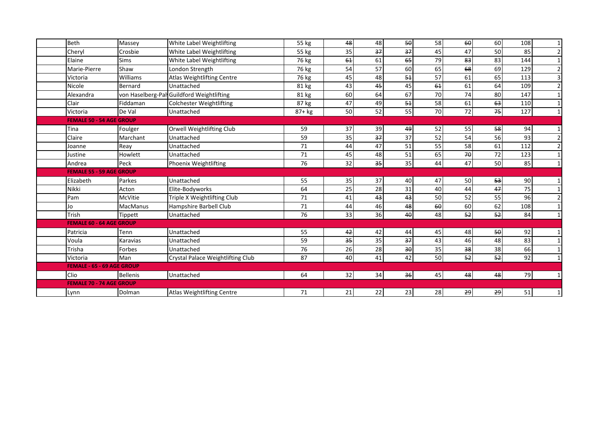| <b>Beth</b>                       | Massey          | White Label Weightlifting                 | 55 kg   | 48 | 48 | 50 | 58 | 60      | 60   | 108 | 1 <sup>1</sup> |
|-----------------------------------|-----------------|-------------------------------------------|---------|----|----|----|----|---------|------|-----|----------------|
| Cheryl                            | Crosbie         | White Label Weightlifting                 | 55 kg   | 35 | 37 | ₹  | 45 | 47      | 50   | 85  | $\overline{2}$ |
| Elaine                            | <b>Sims</b>     | White Label Weightlifting                 | 76 kg   | 61 | 61 | 65 | 79 | 83      | 83   | 144 | $1\vert$       |
| Marie-Pierre                      | Shaw            | London Strength                           | 76 kg   | 54 | 57 | 60 | 65 | 68      | 69   | 129 | $\overline{2}$ |
| Victoria                          | Williams        | <b>Atlas Weightlifting Centre</b>         | 76 kg   | 45 | 48 | 54 | 57 | 61      | 65   | 113 | 3              |
| Nicole                            | <b>Bernard</b>  | Unattached                                | 81 kg   | 43 | 45 | 45 | 61 | 61      | 64   | 109 | $\overline{2}$ |
| Alexandra                         |                 | von Haselberg-Pal Guildford Weightlifting | 81 kg   | 60 | 64 | 67 | 70 | 74      | 80   | 147 | $1\vert$       |
| Clair                             | Fiddaman        | <b>Colchester Weightlifting</b>           | 87 kg   | 47 | 49 | 54 | 58 | 61      | 63   | 110 | 1 <sup>1</sup> |
| Victoria                          | De Val          | Unattached                                | $87+kg$ | 50 | 52 | 55 | 70 | 72      | 75   | 127 | $1\vert$       |
| <b>FEMALE 50 - 54 AGE GROUP</b>   |                 |                                           |         |    |    |    |    |         |      |     |                |
| Tina                              | Foulger         | Orwell Weightlifting Club                 | 59      | 37 | 39 | 49 | 52 | 55      | 58   | 94  | $1\vert$       |
| Claire                            | Marchant        | Unattached                                | 59      | 35 | 37 | 37 | 52 | 54      | 56   | 93  | $\overline{2}$ |
| Joanne                            | Reav            | Unattached                                | 71      | 44 | 47 | 51 | 55 | 58      | 61   | 112 | $\overline{2}$ |
| Justine                           | Howlett         | Unattached                                | 71      | 45 | 48 | 51 | 65 | 70      | 72   | 123 | 1 <sup>1</sup> |
| Andrea                            | Peck            | Phoenix Weightlifting                     | 76      | 32 | 35 | 35 | 44 | 47      | 50   | 85  | 1 <sup>1</sup> |
| <b>FEMALE 55 - 59 AGE GROUP</b>   |                 |                                           |         |    |    |    |    |         |      |     |                |
| Elizabeth                         | Parkes          | Unattached                                | 55      | 35 | 37 | 40 | 47 | 50      | 53   | 90  | 1 <sup>1</sup> |
| Nikki                             | Acton           | Elite-Bodyworks                           | 64      | 25 | 28 | 31 | 40 | 44      | 47   | 75  | 1 <sup>1</sup> |
| Pam                               | McVitie         | Triple X Weightlifting Club               | 71      | 41 | 43 | 43 | 50 | 52      | 55   | 96  | 2              |
| lo                                | <b>MacManus</b> | Hampshire Barbell Club                    | 71      | 44 | 46 | 48 | 60 | 60      | 62   | 108 | $1\vert$       |
| Trish                             | Tippett         | Unattached                                | 76      | 33 | 36 | 40 | 48 | 52      | 52   | 84  | 1 <sup>1</sup> |
| <b>FEMALE 60 - 64 AGE GROUP</b>   |                 |                                           |         |    |    |    |    |         |      |     |                |
| Patricia                          | Tenn            | Unattached                                | 55      | 42 | 42 | 44 | 45 | 48      | $50$ | 92  | 1 <sup>1</sup> |
| Voula                             | Karavias        | Unattached                                | 59      | 35 | 35 | 37 | 43 | 46      | 48   | 83  | $1\vert$       |
| Trisha                            | Forbes          | Unattached                                | 76      | 26 | 28 | 30 | 35 | 38      | 38   | 66  | $1\vert$       |
| Victoria                          | Man             | Crystal Palace Weightlifting Club         | 87      | 40 | 41 | 42 | 50 | ٩J<br>م | 52   | 92  | 1 <sup>1</sup> |
| <b>FEMALE - 65 - 69 AGE GROUP</b> |                 |                                           |         |    |    |    |    |         |      |     |                |
| Clio                              | <b>Bellenis</b> | Unattached                                | 64      | 32 | 34 | 36 | 45 | 48      | 48   | 79  | 1 <sup>1</sup> |
| <b>FEMALE 70 - 74 AGE GROUP</b>   |                 |                                           |         |    |    |    |    |         |      |     |                |
| Lynn                              | Dolman          | <b>Atlas Weightlifting Centre</b>         | 71      | 21 | 22 | 23 | 28 | 29      | 29   | 51  | 1 <sup>1</sup> |
|                                   |                 |                                           |         |    |    |    |    |         |      |     |                |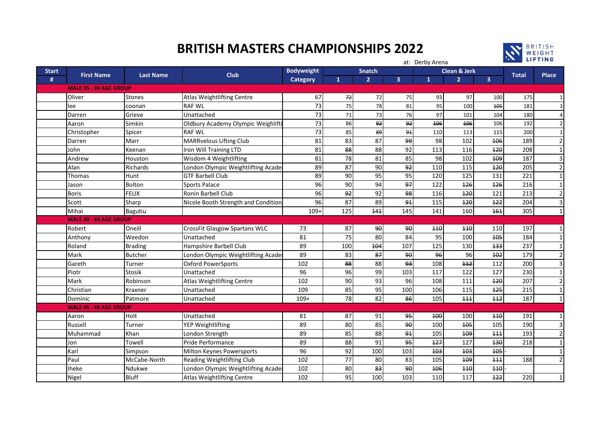## **BRITISH MASTERS CHAMPIONSHIPS 2022**



|              |                               |                  | at: Derby Arena                     |                   |                 |                |                         |              |                |                | <b>EXAMPLE LIFTING</b> |                |  |  |
|--------------|-------------------------------|------------------|-------------------------------------|-------------------|-----------------|----------------|-------------------------|--------------|----------------|----------------|------------------------|----------------|--|--|
| <b>Start</b> |                               | <b>Last Name</b> | <b>Club</b>                         | <b>Bodyweight</b> |                 | <b>Snatch</b>  | <b>Clean &amp; Jerk</b> |              |                |                |                        |                |  |  |
| #            | <b>First Name</b>             |                  |                                     | Category          | $\mathbf{1}$    | $\overline{2}$ | $\overline{\mathbf{3}}$ | $\mathbf{1}$ | $\overline{2}$ | $\overline{3}$ | <b>Total</b>           | <b>Place</b>   |  |  |
|              | <b>MALE 35 - 39 AGE GROUP</b> |                  |                                     |                   |                 |                |                         |              |                |                |                        |                |  |  |
|              | Oliver                        | <b>Stones</b>    | <b>Atlas Weightlifting Centre</b>   | 67                | 72              | 72             | 75                      | 93           | 97             | 100            | 175                    | 1              |  |  |
|              | lee                           | coonan           | <b>RAF WL</b>                       | 73                | 75              | 78             | 81                      | 95           | 100            | 105            | 181                    | 3              |  |  |
|              | Darren                        | Grieve           | Unattached                          | 73                | 71              | 73             | 76                      | 97           | 101            | 104            | 180                    | 4              |  |  |
|              | Aaron                         | Simkin           | Oldbury Academy Olympic Weighlift   | 73                | 86              | 92             | 92                      | 406          | <b>106</b>     | 106            | 192                    | $\overline{2}$ |  |  |
|              | Christopher                   | Spicer           | <b>RAF WL</b>                       | $\overline{73}$   | 85              | 89             | 91                      | 110          | 113            | 115            | 200                    | $\mathbf{1}$   |  |  |
|              | Darren                        | Marr             | <b>MARRvelous Lifting Club</b>      | 81                | 83              | 87             | وو                      | 98           | 102            | <b>106</b>     | 189                    | $\overline{2}$ |  |  |
|              | John                          | Keenan           | Iron Will Training LTD              | 81                | 88              | 88             | 92                      | 113          | 116            | 120            | 208                    | $\mathbf 1$    |  |  |
|              | Andrew                        | Houston          | Wisdom 4 Weightlifting              | 81                | 78              | 81             | 85                      | 98           | 102            | 109            | 187                    | $\overline{3}$ |  |  |
|              | Alan                          | Richards         | London Olympic Weightlifting Acade  | 89                | 87              | 90             | 92                      | 110          | 115            | 120            | 205                    | $\overline{2}$ |  |  |
|              | Thomas                        | Hunt             | <b>GTF Barbell Club</b>             | 89                | 90              | 95             | 95                      | 120          | 125            | 131            | 221                    | $\mathbf{1}$   |  |  |
|              | Jason                         | <b>Bolton</b>    | Sports Palace                       | 96                | 90              | 94             | 97                      | 122          | 126            | 126            | 216                    | $\mathbf{1}$   |  |  |
|              | <b>Boris</b>                  | <b>FELIX</b>     | <b>Ronin Barbell Club</b>           | 96                | 92              | 92             | 98                      | 116          | 120            | 121            | 213                    | $\overline{2}$ |  |  |
|              | Scott                         | Sharp            | Nicole Booth Strength and Condition | 96                | 87              | 89             | 91                      | 115          | 120            | 122            | 204                    | 3              |  |  |
|              | Mihai                         | <b>Bagutiu</b>   |                                     | $109+$            | 125             | 141            | 145                     | 141          | 160            | 161            | 305                    | $\mathbf{1}$   |  |  |
|              | <b>MALE 40 - 44 AGE GROUP</b> |                  |                                     |                   |                 |                |                         |              |                |                |                        |                |  |  |
|              | Robert                        | Oneill           | CrossFit Glasgow Spartans WLC       | 73                | 87              | $9\theta$      | 90                      | 110          | 440            | 110            | 197                    | $\mathbf 1$    |  |  |
|              | Anthony                       | Weedon           | Unattached                          | 81                | $\overline{75}$ | 80             | 84                      | 95           | 100            | 105            | 184                    | $\mathbf{1}$   |  |  |
|              | Roland                        | <b>Brading</b>   | Hampshire Barbell Club              | 89                | 100             | 404            | 107                     | 125          | 130            | 133            | 237                    | $\mathbf{1}$   |  |  |
|              | Mark                          | <b>Butcher</b>   | London Olympic Weightlifting Acade  | 89                | 83              | 87             | 90                      | 96           | 96             | 102            | 179                    | $\overline{2}$ |  |  |
|              | Gareth                        | Turner           | <b>Oxford PowerSports</b>           | 102               | 88              | 88             | 93                      | 108          | $+12$          | 112            | 200                    | 3              |  |  |
|              | Piotr                         | <b>Stosik</b>    | Unattached                          | 96                | 96              | 99             | 103                     | 117          | 122            | 127            | 230                    | $\mathbf 1$    |  |  |
|              | Mark                          | Robinson         | <b>Atlas Weightlifting Centre</b>   | 102               | 90              | 93             | 96                      | 108          | 111            | 120            | 207                    | $\overline{2}$ |  |  |
|              | Christian                     | Kraxner          | Unattached                          | 109               | 85              | 95             | 100                     | 106          | 115            | 125            | 215                    | $\mathbf{1}$   |  |  |
|              | Dominic                       | Patmore          | Unattached                          | $109+$            | 78              | 82             | 86                      | 105          | 111            | 112            | 187                    | $\mathbf{1}$   |  |  |
|              | <b>MALE 45 - 49 AGE GROUP</b> |                  |                                     |                   |                 |                |                         |              |                |                |                        |                |  |  |
|              | Aaron                         | Holt             | Unattached                          | 81                | 87              | 91             | 95                      | 400          | 100            | 440            | 191                    | 1              |  |  |
|              | Russell                       | Turner           | <b>YEP Weightlifting</b>            | 89                | 80              | 85             | 90                      | 100          | 405            | 105            | 190                    | $\overline{3}$ |  |  |
|              | Muhammad                      | Khan             | London Strength                     | 89                | 85              | 88             | 91                      | 105          | 109            | 111            | 193                    | $\overline{2}$ |  |  |
|              | Jon                           | Towell           | Pride Performance                   | 89                | 88              | 91             | 95                      | 127          | 127            | 130            | 218                    | $\mathbf{1}$   |  |  |
|              | Karl                          | Simpson          | Milton Keynes Powersports           | 96                | 92              | 100            | 103                     | <b>103</b>   | 403            | 405            |                        | $\mathbf 1$    |  |  |
|              | Paul                          | McCabe-North     | Reading Weightlifting Club          | 102               | 77              | 80             | 83                      | 105          | 109            | 111            | 188                    | $\overline{2}$ |  |  |
|              | <b>Iheke</b>                  | Ndukwe           | London Olympic Weightlifting Acade  | 102               | 80              | 83             | 90                      | <b>106</b>   | 440            | 110            |                        |                |  |  |
|              | Nigel                         | <b>Bluff</b>     | <b>Atlas Weightlifting Centre</b>   | 102               | 95              | 100            | 103                     | 110          | 117            | $+22$          | 220                    | $\mathbf{1}$   |  |  |